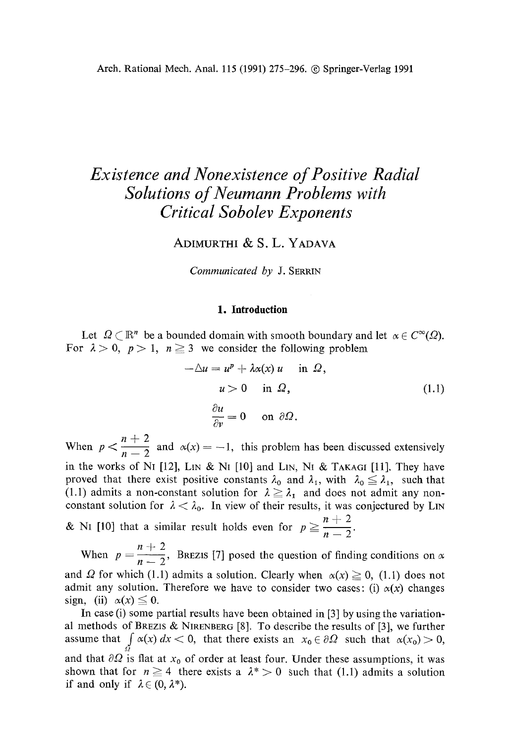# *Existence and Nonexistence of Positive Radial Solutions of Neumann Problems with Critical Sobolev Exponents*

ADIMURTHI & S. L. YADAVA

*Communicated by* J. SERRIN

#### **1. Introduction**

Let  $\Omega \subset \mathbb{R}^n$  be a bounded domain with smooth boundary and let  $\alpha \in C^{\infty}(\Omega)$ . For  $\lambda > 0$ ,  $p > 1$ ,  $n \ge 3$  we consider the following problem

$$
-\Delta u = u^{p} + \lambda \alpha(x) u \quad \text{in } \Omega,
$$
  
\n
$$
u > 0 \quad \text{in } \Omega,
$$
  
\n
$$
\frac{\partial u}{\partial v} = 0 \quad \text{on } \partial \Omega.
$$
  
\n(1.1)

When  $p < \frac{n+2}{n-2}$  and  $\alpha(x) = -1$ , this problem has been discussed extensively in the works of NI [12], LIN & NI [10] and LIN, NI & TAKAGI [11]. They have proved that there exist positive constants  $\lambda_0$  and  $\lambda_1$ , with  $\lambda_0 \leq \lambda_1$ , such that (1.1) admits a non-constant solution for  $\lambda \geq \lambda_1$  and does not admit any nonconstant solution for  $\lambda < \lambda_0$ . In view of their results, it was conjectured by LIN & N1 [10] that a similar result holds even for  $p \ge \frac{n+2}{n-2}$ .

 $n + 2$ When  $p = \frac{1}{n-2}$ , BREZIS [7] posed the question of finding conditions on and  $\Omega$  for which (1.1) admits a solution. Clearly when  $\alpha(x) \ge 0$ , (1.1) does not admit any solution. Therefore we have to consider two cases: (i)  $\alpha(x)$  changes sign, (ii)  $\alpha(x) \leq 0$ .

In case (i) some partial results have been obtained in [3] by using the variational methods of BREZIS & NIRENBERG [8]. To describe the results of [3], we further assume that  $\int \alpha(x) dx < 0$ , that there exists an  $x_0 \in \partial \Omega$  such that  $\alpha(x_0) > 0$ , and that  $\partial\Omega$  is flat at  $x_0$  of order at least four. Under these assumptions, it was shown that for  $n \ge 4$  there exists a  $\lambda^* > 0$  such that (1.1) admits a solution if and only if  $\lambda \in (0, \lambda^*)$ .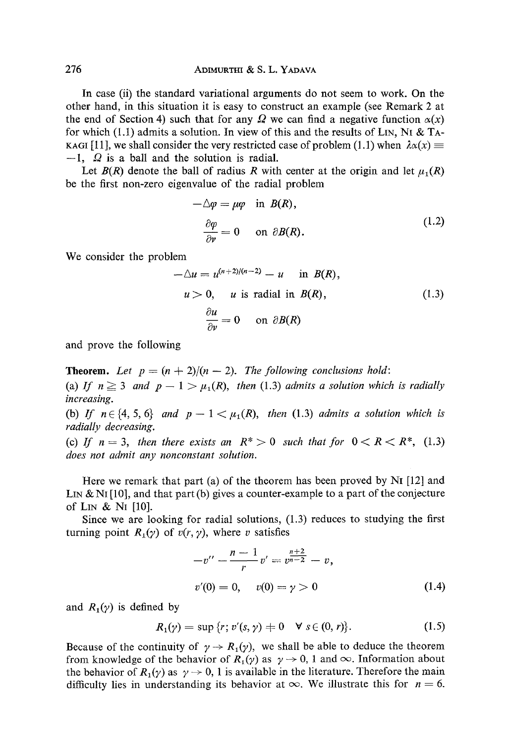In case (ii) the standard variational arguments do not seem to work. On the other hand, in this situation it is easy to construct an example (see Remark 2 at the end of Section 4) such that for any  $\Omega$  we can find a negative function  $\alpha(x)$ for which (1,1) admits a solution. In view of this and the results of L<sub>N</sub>, N<sub>I</sub> & T<sub>A</sub>-KAGI [11], we shall consider the very restricted case of problem (1.1) when  $\lambda \alpha(x) \equiv$  $-1$ ,  $\Omega$  is a ball and the solution is radial.

Let  $B(R)$  denote the ball of radius R with center at the origin and let  $\mu_1(R)$ be the first non-zero eigenvalue of the radial problem

$$
-\Delta \varphi = \mu \varphi \quad \text{in } B(R),
$$
  
\n
$$
\frac{\partial \varphi}{\partial v} = 0 \quad \text{on } \partial B(R).
$$
 (1.2)

We consider the problem

$$
-\Delta u = u^{(n+2)/(n-2)} - u \quad \text{in } B(R),
$$
  
\n
$$
u > 0, \quad u \text{ is radial in } B(R),
$$
  
\n
$$
\frac{\partial u}{\partial v} = 0 \quad \text{on } \partial B(R)
$$
 (1.3)

and prove the following

**Theorem.** Let  $p = (n + 2)/(n - 2)$ . The following conclusions hold:

(a) If  $n \geq 3$  and  $p-1 > \mu_1(R)$ , then (1.3) admits a solution which is radially *increasing.* 

(b) If  $n \in \{4, 5, 6\}$  and  $p-1 < \mu_1(R)$ , then (1.3) admits a solution which is *radially decreasing.* 

(c) If  $n = 3$ , then there exists an  $R^* > 0$  such that for  $0 < R < R^*$ , (1.3) *does not admit any nonconstant solution.* 

Here we remark that part (a) of the theorem has been proved by  $Ni$  [12] and LIN & N<sub>I</sub> [10], and that part (b) gives a counter-example to a part of the conjecture of LIN & NI [10].

Since we are looking for radial solutions, (1.3) reduces to studying the first turning point  $R_1(\gamma)$  of  $v(r, \gamma)$ , where v satisfies

$$
-v'' - \frac{n-1}{r}v' = v^{\frac{n+2}{n-2}} - v,
$$
  

$$
v'(0) = 0, \quad v(0) = \gamma > 0
$$
 (1.4)

and  $R_1(y)$  is defined by

$$
R_1(\gamma) = \sup \{r; \, v'(s, \gamma) \neq 0 \quad \forall \, s \in (0, r) \}.
$$
 (1.5)

Because of the continuity of  $\gamma \rightarrow R_1(\gamma)$ , we shall be able to deduce the theorem from knowledge of the behavior of  $R_1(\gamma)$  as  $\gamma \to 0$ , 1 and  $\infty$ . Information about the behavior of  $R_1(y)$  as  $\gamma \to 0$ , 1 is available in the literature. Therefore the main difficulty lies in understanding its behavior at  $\infty$ . We illustrate this for  $n = 6$ .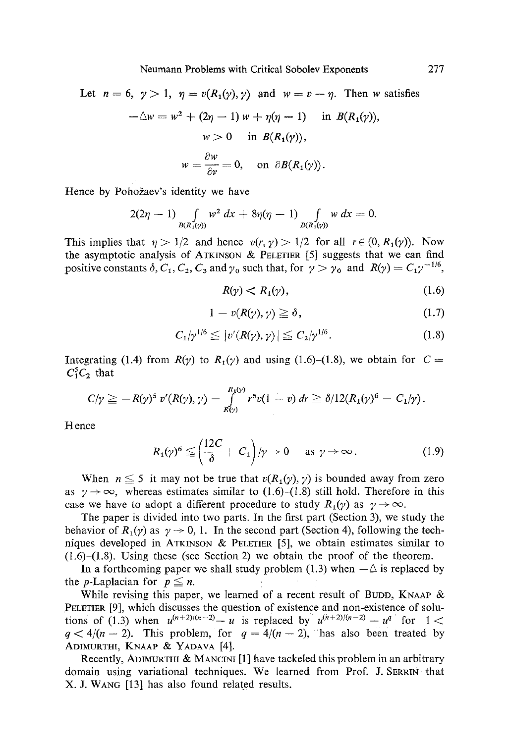Let 
$$
n = 6
$$
,  $\gamma > 1$ ,  $\eta = v(R_1(\gamma), \gamma)$  and  $w = v - \eta$ . Then w satisfies  
\n
$$
-\Delta w = w^2 + (2\eta - 1) w + \eta(\eta - 1) \quad \text{in } B(R_1(\gamma)),
$$
\n
$$
w > 0 \quad \text{in } B(R_1(\gamma)),
$$
\n
$$
w = \frac{\partial w}{\partial v} = 0, \quad \text{on } \partial B(R_1(\gamma)).
$$

Hence by Pohožaev's identity we have

$$
2(2\eta - 1) \int_{B(R_1(y))} w^2 dx + 8\eta(\eta - 1) \int_{B(R_1(y))} w dx = 0.
$$

This implies that  $\eta > 1/2$  and hence  $v(r, \gamma) > 1/2$  for all  $r \in (0, R_1(\gamma))$ . Now the asymptotic analysis of ATKINSON & PELETIER  $[5]$  suggests that we can find positive constants  $\delta$ ,  $C_1$ ,  $C_2$ ,  $C_3$  and  $\gamma_0$  such that, for  $\gamma > \gamma_0$  and  $R(\gamma) = C_1 \gamma^{-1/6}$ ,

$$
R(\gamma) < R_1(\gamma), \tag{1.6}
$$

$$
1 - v(R(\gamma), \gamma) \geq \delta, \tag{1.7}
$$

$$
C_1/\gamma^{1/6} \leq |v'(R(\gamma), \gamma)| \leq C_2/\gamma^{1/6}.
$$
 (1.8)

Integrating (1.4) from  $R(y)$  to  $R_1(y)$  and using (1.6)-(1.8), we obtain for  $C =$  $C_1^5C_2$  that

$$
C/\gamma \geq -R(\gamma)^5 v'(R(\gamma), \gamma) = \int\limits_{R(\gamma)}^{R_1(\gamma)} r^5 v(1-v) \, dr \geq \delta/12(R_1(\gamma)^6 - C_1/\gamma).
$$

Hence

$$
R_1(\gamma)^6 \leq \left(\frac{12C}{\delta} + C_1\right)/\gamma \to 0 \quad \text{as } \gamma \to \infty.
$$
 (1.9)

When  $n \leq 5$  it may not be true that  $v(R_1(\gamma), \gamma)$  is bounded away from zero as  $\gamma \rightarrow \infty$ , whereas estimates similar to (1.6)-(1.8) still hold. Therefore in this case we have to adopt a different procedure to study  $R_1(\gamma)$  as  $\gamma \to \infty$ .

The paper is divided into two parts. In the first part (Section 3), we study the behavior of  $R_1(y)$  as  $y \to 0$ , 1. In the second part (Section 4), following the techniques developed in ATKINSON & PELETIER  $[5]$ , we obtain estimates similar to (1.6)-(1.8). Using these (see Section 2) we obtain the proof of the theorem.

In a forthcoming paper we shall study problem (1.3) when  $-\Delta$  is replaced by the *p*-Laplacian for  $p \leq n$ .

While revising this paper, we learned of a recent result of BUDD, KNAAP  $\&$ PELETIER [9], which discusses the question of existence and non-existence of solutions of (1.3) when  $u^{(n+2)/(n-2)} - u$  is replaced by  $u^{(n+2)/(n-2)} - u^q$  for  $1 <$  $q < 4/(n - 2)$ . This problem, for  $q = 4/(n - 2)$ , has also been treated by ADIMURTHI, KNAAP & YADAVA [4].

Recently, ADIMURTHI & MANCINI [1] have tackeled this problem in an arbitrary domain using variational techniques. We learned from Prof. J. SERRIN that X. J. WANG [13] has also found related results.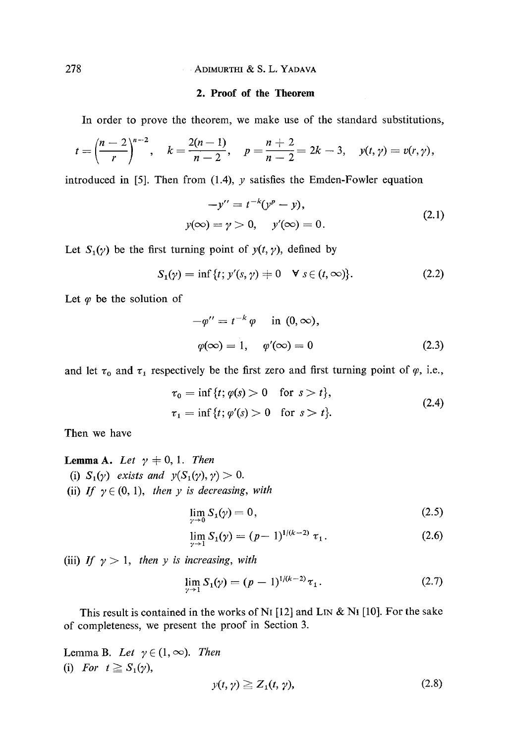### 278 ADIMURTHI & S. L. YADAVA

#### **2. Proof of the Theorem**

In order to prove the theorem, we make use of the standard substitutions,

$$
t=\left(\frac{n-2}{r}\right)^{n-2}, \quad k=\frac{2(n-1)}{n-2}, \quad p=\frac{n+2}{n-2}=2k-3, \quad y(t,\gamma)=v(r,\gamma),
$$

introduced in [5]. Then from (1.4),  $\gamma$  satisfies the Emden-Fowler equation

$$
-y'' = t^{-k}(y^{p} - y),
$$
  
y( $\infty$ ) =  $\gamma > 0$ , y'( $\infty$ ) = 0. (2.1)

Let  $S_1(y)$  be the first turning point of  $y(t, y)$ , defined by

$$
S_1(\gamma) = \inf \{ t; \, \gamma'(s, \gamma) \neq 0 \quad \forall \, s \in (t, \infty) \}. \tag{2.2}
$$

Let  $\varphi$  be the solution of

$$
-\varphi'' = t^{-k} \varphi \quad \text{in } (0, \infty),
$$
  

$$
\varphi(\infty) = 1, \quad \varphi'(\infty) = 0
$$
 (2.3)

and let  $\tau_0$  and  $\tau_1$  respectively be the first zero and first turning point of  $\varphi$ , i.e.,

$$
\tau_0 = \inf \{ t; \varphi(s) > 0 \quad \text{for } s > t \},\
$$
  
\n
$$
\tau_1 = \inf \{ t; \varphi'(s) > 0 \quad \text{for } s > t \}.
$$
\n(2.4)

Then we have

**Lemma A.** *Let*  $\gamma \neq 0, 1$ *. Then* (i)  $S_1(\gamma)$  exists and  $y(S_1(\gamma), \gamma) > 0$ . (ii) *If*  $\gamma \in (0, 1)$ , *then y is decreasing*, *with* 

$$
\lim_{\gamma \to 0} S_1(\gamma) = 0, \tag{2.5}
$$

$$
\lim_{\gamma \to 1} S_1(\gamma) = (p-1)^{1/(k-2)} \tau_1.
$$
 (2.6)

(iii) *If*  $\gamma > 1$ *, then y is increasing, with* 

$$
\lim_{\gamma \to 1} S_1(\gamma) = (p-1)^{1/(k-2)} \tau_1. \tag{2.7}
$$

This result is contained in the works of NI [12] and LIN  $\&$  NI [10]. For the sake of completeness, we present the proof in Section 3.

Lemma B. Let  $\gamma \in (1, \infty)$ . Then (i) For  $t \geq S_1(\gamma)$ ,  $y(t, \gamma) \ge Z_1(t, \gamma),$  (2.8)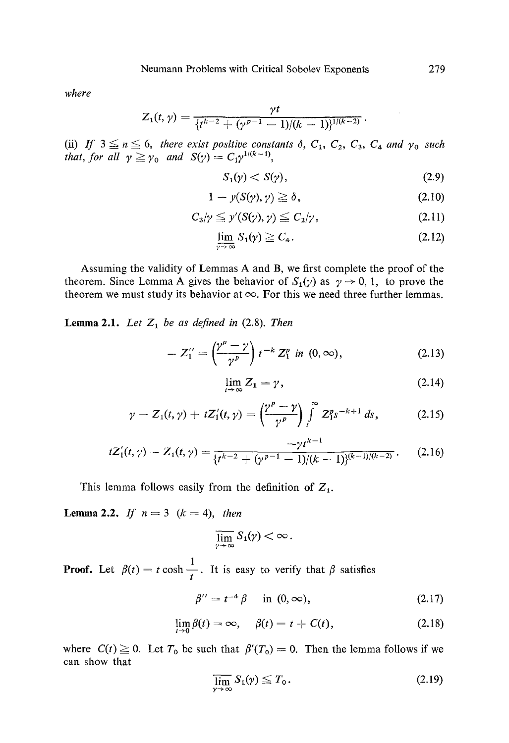*where* 

$$
Z_1(t,\gamma)=\frac{\gamma t}{\{t^{k-2}+(\gamma^{p-1}-1)/(k-1)\}^{1/(k-2)}}.
$$

**(ii)**  *that, for all*  $\gamma \geq \gamma_0$  *and*  $S(\gamma) = C_1 \gamma^{1/(n-1)}$ , *If*  $3 \le n \le 6$ , there exist positive constants  $\delta$ ,  $C_1$ ,  $C_2$ ,  $C_3$ ,  $C_4$  and  $\gamma_0$  such

$$
S_1(\gamma) < S(\gamma),\tag{2.9}
$$

$$
1 - y(S(\gamma), \gamma) \ge \delta, \tag{2.10}
$$

$$
C_3/\gamma \leqq y'(S(\gamma), \gamma) \leqq C_2/\gamma, \qquad (2.11)
$$

$$
\lim_{\gamma \to \infty} S_1(\gamma) \geq C_4. \tag{2.12}
$$

Assuming the validity of Lemmas A and B, we first complete the proof of the theorem. Since Lemma A gives the behavior of  $S_1(y)$  as  $\gamma \rightarrow 0, 1$ , to prove the theorem we must study its behavior at  $\infty$ . For this we need three further lemmas.

**Lemma 2.1.** *Let*  $Z_1$  *be as defined in* (2.8). *Then* 

$$
-Z_1'' = \left(\frac{\gamma^p - \gamma}{\gamma^p}\right) t^{-k} Z_1^p \text{ in } (0, \infty), \tag{2.13}
$$

$$
\lim_{t \to \infty} Z_1 = \gamma, \tag{2.14}
$$

$$
\gamma - Z_1(t, \gamma) + tZ'_1(t, \gamma) = \left(\frac{\gamma^p - \gamma}{\gamma^p}\right) \int\limits_t^\infty Z_1^p s^{-k+1} ds, \qquad (2.15)
$$

$$
tZ'_1(t,\gamma)-Z_1(t,\gamma)=\frac{-\gamma t^{k-1}}{\{\overline{t^{k-2}+(\gamma^{p-1}-1)/(k-1)}\}^{(k-1)/(k-2)}}.
$$
 (2.16)

This lemma follows easily from the definition of  $Z_1$ .

**Lemma 2.2.** *If*  $n=3$  ( $k=4$ ), *then* 

$$
\overline{\lim_{\gamma\to\infty}}\,S_1(\gamma)<\infty\,.
$$

**Proof.** Let  $\beta(t) = t \cosh \frac{1}{t}$ . It is easy to verify that  $\beta$  satisfies

$$
\beta'' = t^{-4} \beta \quad \text{in } (0, \infty), \tag{2.17}
$$

$$
\lim_{t \to 0} \beta(t) = \infty, \quad \beta(t) = t + C(t), \tag{2.18}
$$

where  $C(t) \ge 0$ . Let  $T_0$  be such that  $\beta'(T_0) = 0$ . Then the lemma follows if we can show that

$$
\overline{\lim}_{\gamma \to \infty} S_1(\gamma) \leq T_0. \tag{2.19}
$$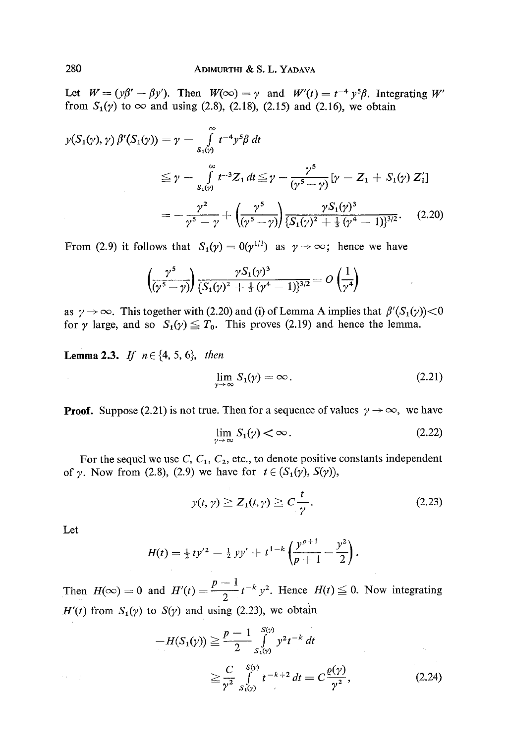Let  $W = (y\beta' - \beta y')$ . Then  $W(\infty) = y$  and  $W'(t) = t^{-4} y^5 \beta$ . Integrating W' from  $S_1(y)$  to  $\infty$  and using (2.8), (2.18), (2.15) and (2.16), we obtain

$$
y(S_1(y), \gamma) \beta'(S_1(y)) = \gamma - \int_{S_1(y)}^{\infty} t^{-4} y^5 \beta dt
$$
  
\n
$$
\leq \gamma - \int_{S_1(y)}^{\infty} t^{-3} Z_1 dt \leq \gamma - \frac{\gamma^5}{(\gamma^5 - \gamma)} [\gamma - Z_1 + S_1(\gamma) Z_1']
$$
  
\n
$$
= -\frac{\gamma^2}{\gamma^5 - \gamma} + \left(\frac{\gamma^5}{(\gamma^5 - \gamma)}\right) \frac{\gamma S_1(\gamma)^3}{\{S_1(\gamma)^2 + \frac{1}{3}(\gamma^4 - 1)\}^{3/2}}.
$$
 (2.20)

From (2.9) it follows that  $S_1(y) = 0(y^{1/3})$  as  $y \to \infty$ ; hence we have

$$
\left(\frac{\gamma^5}{(\gamma^5-\gamma)}\right)\frac{\gamma S_1(\gamma)^3}{\{S_1(\gamma)^2+\frac{1}{3}(\gamma^4-1)\}^{3/2}}=O\left(\frac{1}{\gamma^4}\right)
$$

as  $\gamma \to \infty$ . This together with (2.20) and (i) of Lemma A implies that  $\beta'(S_1(\gamma)) < 0$ for y large, and so  $S_1(y) \leq T_0$ . This proves (2.19) and hence the lemma.

**Lemma 2.3.** *If*  $n \in \{4, 5, 6\}$ , *then* 

$$
\lim_{\gamma \to \infty} S_1(\gamma) = \infty. \tag{2.21}
$$

 $\bar{r}$ 

**Proof.** Suppose (2.21) is not true. Then for a sequence of values  $\gamma \rightarrow \infty$ , we have

$$
\lim_{\gamma \to \infty} S_1(\gamma) < \infty. \tag{2.22}
$$

For the sequel we use  $C, C_1, C_2$ , etc., to denote positive constants independent of  $\gamma$ . Now from (2.8), (2.9) we have for  $t \in (S_1(\gamma), S(\gamma))$ ,

$$
y(t, \gamma) \geq Z_1(t, \gamma) \geq C \frac{t}{\gamma}.
$$
 (2.23)

Let

 $\{x\in \mathbb{R}\}$ 

 $\mathcal{A}^{\mathcal{A}}$ 

$$
H(t) = \frac{1}{2} t y'^2 - \frac{1}{2} y y' + t^{1-k} \left( \frac{y^{p+1}}{p+1} - \frac{y^2}{2} \right).
$$

Then  $H(\infty) = 0$  and  $H'(t) = \frac{p}{2} t^{-k} y^2$ . Hence  $H(t) \leq 0$ . Now integrating  $H'(t)$  from  $S_1(y)$  to  $S(y)$  and using (2.23), we obtain

$$
-H(S_1(\gamma)) \geq \frac{p-1}{2} \int_{S_1(\gamma)}^{S(\gamma)} y^2 t^{-k} dt
$$
  
 
$$
\geq \frac{C}{\gamma^2} \int_{S_1(\gamma)}^{S(\gamma)} t^{-k+2} dt = C \frac{\varrho(\gamma)}{\gamma^2}, \qquad (2.24)
$$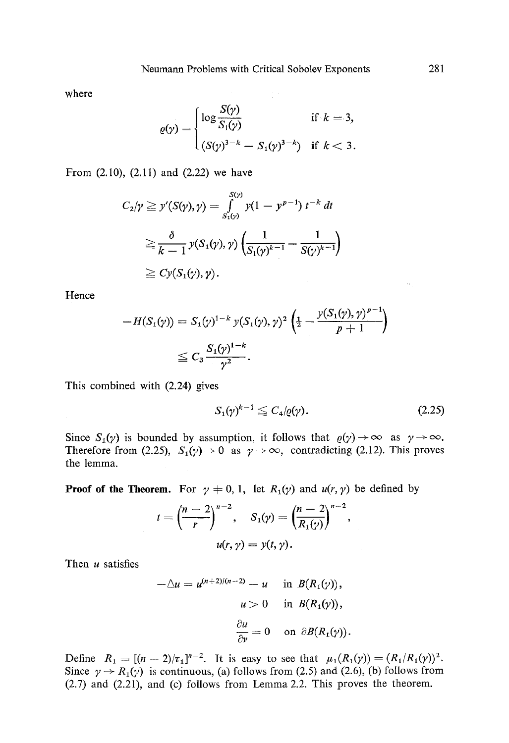where

$$
\varrho(\gamma) = \begin{cases} \log \frac{S(\gamma)}{S_1(\gamma)} & \text{if } k = 3, \\ (S(\gamma)^{3-k} - S_1(\gamma)^{3-k}) & \text{if } k < 3. \end{cases}
$$

From (2.10), (2.11) and (2.22) we have

$$
C_2/\gamma \geq y'(S(\gamma), \gamma) = \int_{S_1(\gamma)}^{S(\gamma)} y(1 - y^{p-1}) t^{-k} dt
$$
  
\n
$$
\geq \frac{\delta}{k-1} y(S_1(\gamma), \gamma) \left( \frac{1}{S_1(\gamma)^{k-1}} - \frac{1}{S(\gamma)^{k-1}} \right)
$$
  
\n
$$
\geq Cy(S_1(\gamma), \gamma).
$$

Hence

$$
-H(S_1(\gamma)) = S_1(\gamma)^{1-k} \ y(S_1(\gamma), \gamma)^2 \left(\frac{1}{2} - \frac{y(S_1(\gamma), \gamma)^{p-1}}{p+1}\right)
$$
  

$$
\leq C_3 \frac{S_1(\gamma)^{1-k}}{\gamma^2}.
$$

This combined with (2.24) gives

$$
S_1(\gamma)^{k-1} \leq C_4(\varrho(\gamma)). \tag{2.25}
$$

Since  $S_1(\gamma)$  is bounded by assumption, it follows that  $\varrho(\gamma) \to \infty$  as  $\gamma \to \infty$ . Therefore from (2.25),  $S_1(\gamma) \to 0$  as  $\gamma \to \infty$ , contradicting (2.12). This proves the lemma.

**Proof of the Theorem.** For  $\gamma \neq 0, 1$ , let  $R_1(\gamma)$  and  $u(r, \gamma)$  be defined by

$$
t = \left(\frac{n-2}{r}\right)^{n-2}, \quad S_1(\gamma) = \left(\frac{n-2}{R_1(\gamma)}\right)^{n-2},
$$

$$
u(r, \gamma) = y(t, \gamma).
$$

Then  $u$  satisfies

$$
-\Delta u = u^{(n+2)/(n-2)} - u \quad \text{in } B(R_1(\gamma)),
$$

$$
u > 0 \quad \text{in } B(R_1(\gamma)),
$$

$$
\frac{\partial u}{\partial \nu} = 0 \quad \text{on } \partial B(R_1(\gamma)).
$$

Define  $R_1 = [(n-2)/\tau_1]^{n-2}$ . It is easy to see that  $\mu_1(R_1(\gamma)) = (R_1/R_1(\gamma))^2$ . Since  $\gamma \rightarrow R_1(\gamma)$  is continuous, (a) follows from (2.5) and (2.6), (b) follows from (2.7) and (2.21), and (c) follows from Lemma 2.2. This proves the theorem.

 $\sim$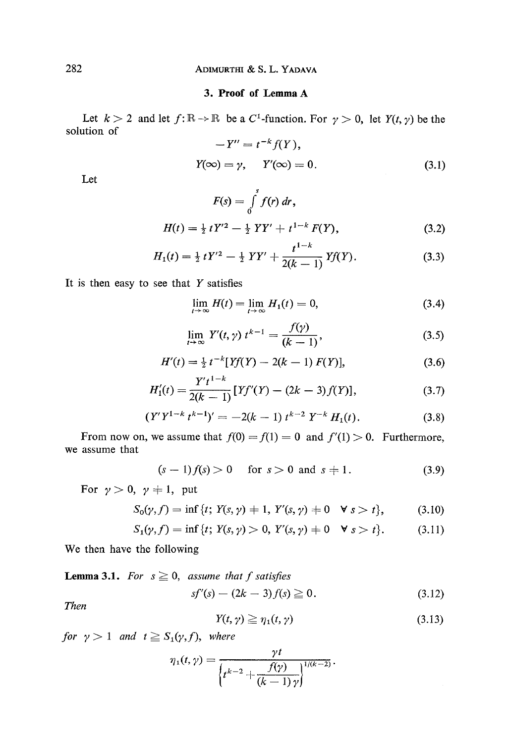## **3. Proof of Lemma A**

Let  $k > 2$  and let  $f: \mathbb{R} \to \mathbb{R}$  be a C<sup>1</sup>-function. For  $\gamma > 0$ , let  $Y(t, \gamma)$  be the solution of

$$
-Y'' = t^{-k} f(Y),
$$
  

$$
Y(\infty) = \gamma, \quad Y'(\infty) = 0.
$$
 (3.1)

Let

$$
F(s) = \int_{0}^{s} f(r) dr,
$$
  
\n
$$
H(t) = \frac{1}{2} tY'^{2} - \frac{1}{2} YY' + t^{1-k} F(Y),
$$
\n(3.2)

$$
H_1(t) = \frac{1}{2} tY'^2 - \frac{1}{2} YY' + \frac{t^{1-k}}{2(k-1)} Yf(Y).
$$
 (3.3)

It is then easy to see that  $Y$  satisfies

$$
\lim_{t \to \infty} H(t) = \lim_{t \to \infty} H_1(t) = 0, \tag{3.4}
$$

$$
\lim_{t \to \infty} Y'(t, \gamma) t^{k-1} = \frac{f(\gamma)}{(k-1)},
$$
\n(3.5)

$$
H'(t) = \frac{1}{2} t^{-k} [Yf(Y) - 2(k-1) F(Y)],
$$
\n(3.6)

$$
H_1'(t) = \frac{Y't^{1-k}}{2(k-1)} \left[ Yf'(Y) - (2k-3)f(Y) \right],\tag{3.7}
$$

$$
(Y'Y^{1-k}t^{k-1})' = -2(k-1) t^{k-2} Y^{-k} H_1(t).
$$
 (3.8)

From now on, we assume that  $f(0) = f(1) = 0$  and  $f'(1) > 0$ . Furthermore, we assume that

$$
(s-1)f(s) > 0
$$
 for  $s > 0$  and  $s \neq 1$ . (3.9)

For  $\gamma>0$ ,  $\gamma\neq 1$ , put

$$
S_0(\gamma, f) = \inf \{ t; \ Y(s, \gamma) \neq 1, \ Y'(s, \gamma) \neq 0 \quad \forall \ s > t \}, \tag{3.10}
$$

$$
S_1(\gamma, f) = \inf \{ t; \ Y(s, \gamma) > 0, \ Y'(s, \gamma) \neq 0 \quad \forall \ s > t \}. \tag{3.11}
$$

We then have the following

**Lemma 3.1.** For  $s \ge 0$ , assume that f satisfies

$$
sf'(s) - (2k - 3) f(s) \ge 0.
$$
\n(3.12)

*Then* 

$$
Y(t,\gamma) \geq \eta_1(t,\gamma) \tag{3.13}
$$

*for*  $\gamma > 1$  *and*  $t \geq S_1(\gamma, f)$ *, where* 

$$
\eta_1(t,\gamma)=\frac{\gamma t}{\left\{t^{k-2}+\frac{f(\gamma)}{(k-1)\gamma}\right\}^{1/(k-2)}}.
$$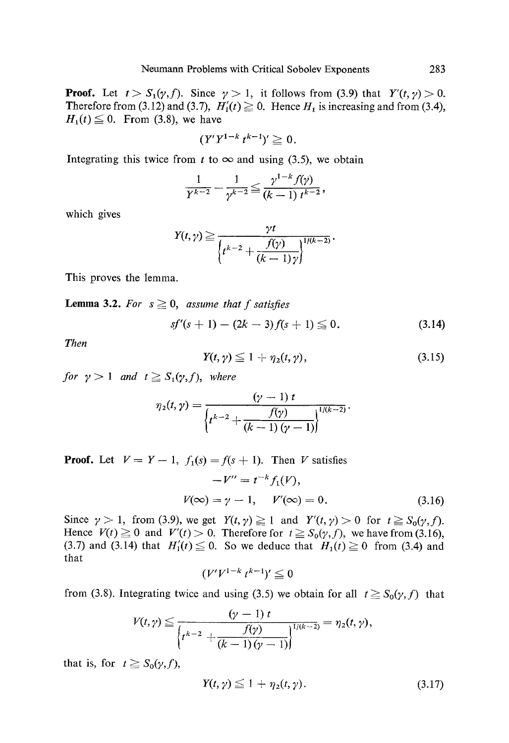**Proof.** Let  $t > S_1(\gamma, f)$ . Since  $\gamma > 1$ , it follows from (3.9) that  $Y'(t, \gamma) > 0$ . Therefore from (3.12) and (3.7),  $H'_{1}(t) \ge 0$ . Hence  $H_{1}$  is increasing and from (3.4),  $H_1(t) \leq 0$ . From (3.8), we have

$$
(Y'Y^{1-k}t^{k-1})'\geq 0.
$$

Integrating this twice from t to  $\infty$  and using (3.5), we obtain

$$
\frac{1}{Y^{k-2}} - \frac{1}{\gamma^{k-2}} \leq \frac{\gamma^{1-k} f(\gamma)}{(k-1) t^{k-2}},
$$

which gives

$$
Y(t,\gamma) \geq \frac{\gamma t}{\left\{t^{k-2} + \frac{f(\gamma)}{(k-1)\gamma}\right\}^{1/(k-2)}}.
$$

This proves the lemma.

**Lemma 3.2.** For  $s \geq 0$ , *assume that f satisfies* 

$$
sf'(s+1) - (2k-3) f(s+1) \leq 0. \tag{3.14}
$$

*Then* 

$$
Y(t,\gamma) \leq 1 + \eta_2(t,\gamma), \qquad (3.15)
$$

*for*  $\gamma > 1$  *and*  $t \geq S_1(\gamma, f)$ , where

$$
\eta_2(t,\gamma) = \frac{(\gamma - 1) t}{\left\{t^{k-2} + \frac{f(\gamma)}{(k-1)(\gamma - 1)}\right\}^{1/(k-2)}}.
$$

**Proof.** Let  $V = Y - 1$ ,  $f_1(s) = f(s + 1)$ . Then V satisfies

$$
-V'' = t^{-k} f_1(V),
$$
  

$$
V(\infty) = \gamma - 1, \quad V'(\infty) = 0.
$$
 (3.16)

Since  $\gamma > 1$ , from (3.9), we get  $Y(t, \gamma) \ge 1$  and  $Y'(t, \gamma) > 0$  for  $t \ge S_0(\gamma, f)$ . Hence  $V(t) \ge 0$  and  $V'(t) > 0$ . Therefore for  $t \ge S_0(\gamma, f)$ , we have from (3.16), (3.7) and (3.14) that  $H'_1(t) \le 0$ . So we deduce that  $H_1(t) \ge 0$  from (3.4) and that

$$
(V'V^{1-k}t^{k-1})'\leq 0
$$

from (3.8). Integrating twice and using (3.5) we obtain for all  $t \geq S_0(\gamma, f)$  that

$$
V(t,\gamma) \leq \frac{(\gamma-1) t}{\left\{t^{k-2} + \frac{f(\gamma)}{(k-1)(\gamma-1)}\right\}^{1/(k-2)}} = \eta_2(t,\gamma),
$$

that is, for  $t \geq S_0(\gamma, f)$ ,

$$
Y(t,\gamma) \leq 1 + \eta_2(t,\gamma). \tag{3.17}
$$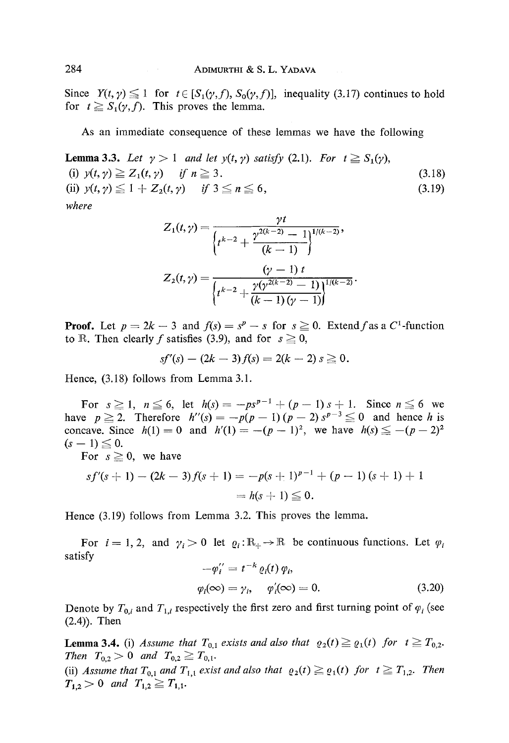Since  $Y(t, \gamma) \leq 1$  for  $t \in [S_1(\gamma, f), S_0(\gamma, f)]$ , inequality (3.17) continues to hold for  $t \ge S_1(\gamma, f)$ . This proves the lemma.

As an immediate consequence of these lemmas we have the following

**Lemma 3.3.** Let  $\gamma > 1$  and let  $y(t, \gamma)$  satisfy (2.1). For  $t \geq S_1(\gamma)$ , (i)  $y(t, y) \geq Z_1(t, y)$  if  $n \geq 3$ . (ii)  $y(t, \gamma) \leq 1 + Z_2(t, \gamma)$  if  $3 \leq n \leq 6$ , *where*  (3.18) (3.19)

$$
Z_1(t,\gamma) = \frac{\gamma t}{\left\{t^{k-2} + \frac{\gamma^{2(k-2)} - 1}{(k-1)}\right\}^{1/(k-2)}},
$$
  

$$
Z_2(t,\gamma) = \frac{(\gamma - 1) t}{\left\{t^{k-2} + \frac{\gamma(\gamma^{2(k-2)} - 1)}{(k-1)(\gamma - 1)}\right\}^{1/(k-2)}}.
$$

**Proof.** Let  $p = 2k - 3$  and  $f(s) = s^p - s$  for  $s \ge 0$ . Extend f as a C<sup>1</sup>-function to R. Then clearly f satisfies (3.9), and for  $s \ge 0$ ,

$$
sf'(s) - (2k-3) f(s) = 2(k-2) s \ge 0.
$$

Hence, (3.18) follows from Lemma 3.1.

For  $s \ge 1$ ,  $n \le 6$ , let  $h(s) = -ps^{p-1} + (p-1)s + 1$ . Since  $n \le 6$  we have  $p \ge 2$ . Therefore  $h''(s) = -p(p-1)(p-2) s^{p-3} \le 0$  and hence h is concave. Since  $h(1) = 0$  and  $h'(1) = -(p- 1)^2$ , we have  $h(s) \leq -(p- 2)^2$  $(s - 1) \le 0$ .

For  $s \ge 0$ , we have

$$
sf'(s + 1) - (2k - 3) f(s + 1) = -p(s + 1)^{p-1} + (p - 1) (s + 1) + 1
$$
  
= h(s + 1) \le 0.

Hence (3.19) follows from Lemma 3.2. This proves the lemma.

For  $i = 1, 2$ , and  $\gamma_i > 0$  let  $\varrho_i : \mathbb{R}_+ \to \mathbb{R}$  be continuous functions. Let  $\varphi_i$ satisfy pt  $p = -k$  *(i)* 

$$
-\varphi_i^{\prime\prime} = t^{-\kappa} \varrho_i(t) \varphi_i,
$$
  

$$
\varphi_i(\infty) = \gamma_i, \quad \varphi_i'(\infty) = 0.
$$
 (3.20)

Denote by  $T_{0,i}$  and  $T_{1,i}$  respectively the first zero and first turning point of  $\varphi_i$  (see (2.4)). Then

**Lemma 3.4.** (i) *Assume that*  $T_{0,1}$  *exists and also that*  $\rho_2(t) \geq \rho_1(t)$  *for*  $t \geq T_{0,2}$ . *Then*  $T_{0,2} > 0$  *and*  $T_{0,2} \geq T_{0,1}$ .

(ii) *Assume that*  $T_{0,1}$  *and*  $T_{1,1}$  *exist and also that*  $\rho_2(t) \geq \rho_1(t)$  *for*  $t \geq T_{1,2}$ . Then  $T_{1,2} > 0$  and  $T_{1,2} \ge T_{1,1}$ .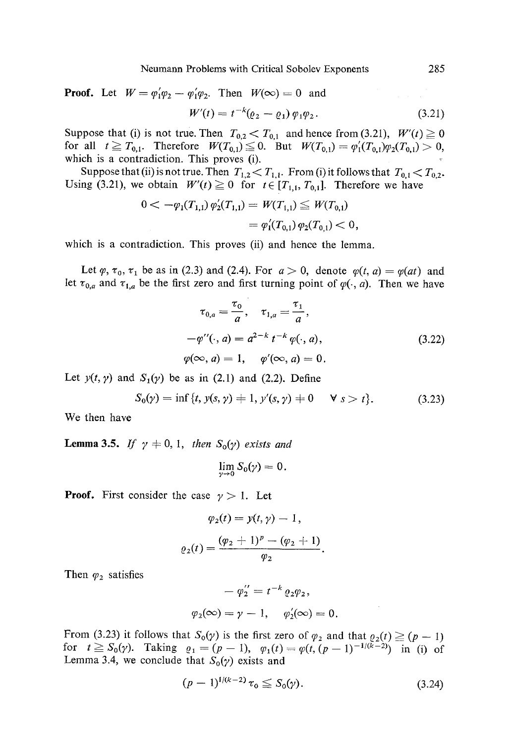Neumann Problems with Critical Sobolev Exponents 285

**Proof.** Let  $W = \varphi_1' \varphi_2 - \varphi_1' \varphi_2$ . Then  $W(\infty) = 0$  and

$$
W'(t) = t^{-k} (\varrho_2 - \varrho_1) \varphi_1 \varphi_2.
$$
 (3.21)

Suppose that (i) is not true. Then  $T_{0,2} < T_{0,1}$  and hence from (3.21),  $W'(t) \ge 0$ for all  $t \ge T_{0,1}$ . Therefore  $W(T_{0,1}) \le 0$ . But  $W(T_{0,1}) = \varphi'_1(T_{0,1})\varphi_2(T_{0,1}) > 0$ , which is a contradiction. This proves (i).

Suppose that (ii) is not true. Then  $T_{1,2} < T_{1,1}$ . From (i) it follows that  $T_{0,1} < T_{0,2}$ . Using (3.21), we obtain  $W'(t) \ge 0$  for  $t \in [T_{1,1}, T_{0,1}]$ . Therefore we have

$$
0 < -\varphi_1(T_{1,1}) \varphi_2'(T_{1,1}) = W(T_{1,1}) \leq W(T_{0,1})
$$
  
=  $\varphi_1'(T_{0,1}) \varphi_2(T_{0,1}) < 0$ ,

which is a contradiction. This proves (ii) and hence the lemma.

Let  $\varphi$ ,  $\tau_0$ ,  $\tau_1$  be as in (2.3) and (2.4). For  $a > 0$ , denote  $\varphi(t, a) = \varphi(at)$  and let  $\tau_{0,a}$  and  $\tau_{1,a}$  be the first zero and first turning point of  $\varphi(\cdot, a)$ . Then we have

$$
\tau_{0,a} = \frac{\tau_0}{a}, \quad \tau_{1,a} = \frac{\tau_1}{a},
$$
  
\n
$$
-\varphi''(\cdot, a) = a^{2-k} t^{-k} \varphi(\cdot, a),
$$
  
\n
$$
\varphi(\infty, a) = 1, \quad \varphi'(\infty, a) = 0.
$$
\n(3.22)

Let  $y(t, y)$  and  $S_1(y)$  be as in (2.1) and (2.2). Define

$$
S_0(\gamma) = \inf \{ t, y(s, \gamma) + 1, y'(s, \gamma) + 0 \quad \forall \ s > t \}. \tag{3.23}
$$

We then have

**Lemma 3.5.** *If*  $\gamma \neq 0, 1$ , *then*  $S_0(\gamma)$  *exists and* 

$$
\lim_{\gamma\to 0}S_0(\gamma)=0.
$$

**Proof.** First consider the case  $\gamma > 1$ . Let

$$
\varphi_2(t) = y(t, \gamma) - 1,
$$
  

$$
\varrho_2(t) = \frac{(\varphi_2 + 1)^p - (\varphi_2 + 1)}{\varphi_2}
$$

Then  $\varphi_2$  satisfies

$$
-\varphi_2'' = t^{-k} \varrho_2 \varphi_2,
$$
  

$$
\varphi_2(\infty) = \gamma - 1, \quad \varphi_2'(\infty) = 0.
$$

From (3.23) it follows that  $S_0(y)$  is the first zero of  $\varphi_2$  and that  $\varphi_2(t) \geq (p-1)$ for  $t \ge S_0(y)$ . Taking  $\rho_1 = (p-1), \quad \varphi_1(t) = \varphi(t,(p-1)^{-1/(k-2)})$  in (i) of Lemma 3.4, we conclude that  $S_0(\gamma)$  exists and

$$
(p-1)^{1/(k-2)}\,\tau_0 \leq S_0(\gamma). \tag{3.24}
$$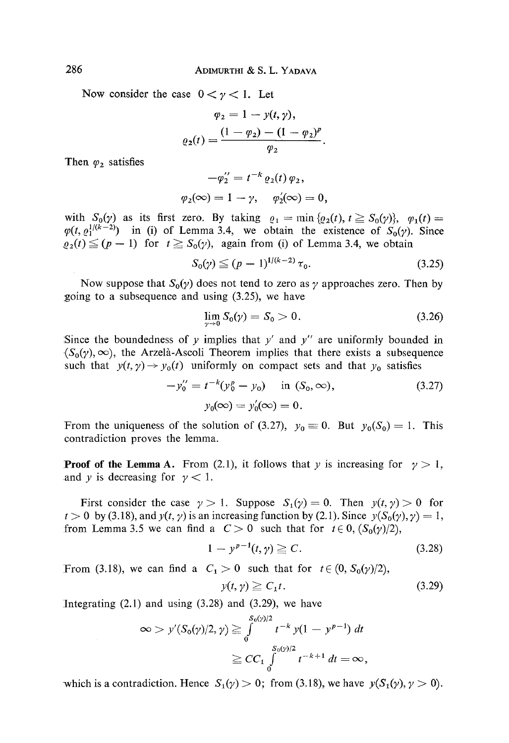Now consider the case  $0 < y < 1$ . Let

$$
\varphi_2 = 1 - y(t, \gamma),
$$

$$
\varrho_2(t) = \frac{(1 - \varphi_2) - (1 - \varphi_2)^p}{\varphi_2}
$$

Then  $\varphi_2$  satisfies

$$
-\varphi_2'' = t^{-k} \varrho_2(t) \varphi_2,
$$
  

$$
\varphi_2(\infty) = 1 - \gamma, \quad \varphi_2'(\infty) = 0,
$$

with  $S_0(\gamma)$  as its first zero. By taking  $\rho_1 = \min \{\rho_2(t), t \geq S_0(\gamma)\}, \varphi_1(t)=$  $\varphi(t, e_1^{1/(k-2)})$  in (i) of Lemma 3.4, we obtain the existence of  $S_0(\gamma)$ . Since  $\rho_2(t) \leq (p-1)$  for  $t \geq S_0(\gamma)$ , again from (i) of Lemma 3.4, we obtain

$$
S_0(\gamma) \leq (p-1)^{1/(k-2)} \tau_0. \tag{3.25}
$$

Now suppose that  $S_0(y)$  does not tend to zero as  $\gamma$  approaches zero. Then by going to a subsequence and using  $(3.25)$ , we have

$$
\lim_{\gamma \to 0} S_0(\gamma) = S_0 > 0. \tag{3.26}
$$

Since the boundedness of y implies that  $y'$  and  $y''$  are uniformly bounded in  $(\mathcal{S}_0(\gamma), \infty)$ , the Arzelà-Ascoli Theorem implies that there exists a subsequence such that  $y(t, \gamma) \rightarrow y_0(t)$  uniformly on compact sets and that  $y_0$  satisfies

$$
-y_0'' = t^{-k}(y_0^p - y_0) \text{ in } (S_0, \infty),
$$
  
\n
$$
y_0(\infty) = y_0'(\infty) = 0.
$$
\n(3.27)

From the uniqueness of the solution of (3.27),  $y_0 \equiv 0$ . But  $y_0(S_0) = 1$ . This contradiction proves the lemma.

**Proof of the Lemma A.** From (2.1), it follows that y is increasing for  $\gamma > 1$ , and y is decreasing for  $y < 1$ .

First consider the case  $\gamma > 1$ . Suppose  $S_1(\gamma) = 0$ . Then  $y(t, \gamma) > 0$  for  $t > 0$  by (3.18), and  $y(t, \gamma)$  is an increasing function by (2.1). Since  $y(S_0(\gamma), \gamma) = 1$ , from Lemma 3.5 we can find a  $C > 0$  such that for  $t \in 0$ ,  $(S_0(y)/2)$ ,

$$
1 - y^{p-1}(t, \gamma) \geq C. \tag{3.28}
$$

From (3.18), we can find a  $C_1 > 0$  such that for  $t \in (0, S_0(\gamma)/2)$ ,

$$
y(t, \gamma) \ge C_1 t. \tag{3.29}
$$

Integrating  $(2.1)$  and using  $(3.28)$  and  $(3.29)$ , we have

$$
\infty > y'(S_0(\gamma)/2, \gamma) \ge \int_0^{S_0(\gamma)/2} t^{-k} y(1 - y^{p-1}) dt
$$
  

$$
\ge CC_1 \int_0^{S_0(\gamma)/2} t^{-k+1} dt = \infty,
$$

which is a contradiction. Hence  $S_1(\gamma) > 0$ ; from (3.18), we have  $y(S_1(\gamma), \gamma > 0)$ .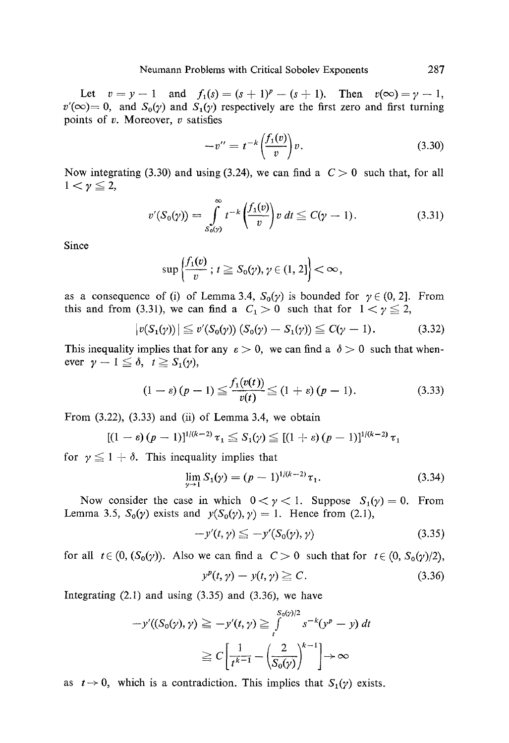Let  $v = y - 1$  and  $f_1(s) = (s + 1)^p - (s + 1)$ . Then  $v(\infty) = \gamma - 1$ ,  $v'(\infty) = 0$ , and  $S_0(y)$  and  $S_1(y)$  respectively are the first zero and first turning points of  $v$ . Moreover,  $v$  satisfies

$$
-v^{\prime\prime} = t^{-k} \left(\frac{f_1(v)}{v}\right) v. \tag{3.30}
$$

Now integrating (3.30) and using (3.24), we can find a  $C > 0$  such that, for all  $1<\gamma\leq 2$ ,

$$
v'(S_0(\gamma)) = \int_{S_0(\gamma)}^{\infty} t^{-k} \left(\frac{f_1(v)}{v}\right) v dt \leq C(\gamma - 1).
$$
 (3.31)

Since

$$
\sup\left\{\frac{f_1(v)}{v}\,;\,t\geq S_0(\gamma),\gamma\in(1,2]\right\}<\infty,
$$

as a consequence of (i) of Lemma 3.4,  $S_0(y)$  is bounded for  $y \in (0, 2]$ . From this and from (3.31), we can find a  $C_1>0$  such that for  $1<\gamma\leq 2$ ,

$$
|v(S_1(\gamma))| \leq v'(S_0(\gamma)) (S_0(\gamma) - S_1(\gamma)) \leq C(\gamma - 1). \tag{3.32}
$$

This inequality implies that for any  $\varepsilon > 0$ , we can find a  $\delta > 0$  such that whenever  $\gamma-1\leq\delta$ ,  $t\geq S_1(\gamma)$ ,

$$
(1 - \varepsilon)(p - 1) \leq \frac{f_1(v(t))}{v(t)} \leq (1 + \varepsilon)(p - 1).
$$
 (3.33)

From  $(3.22)$ ,  $(3.33)$  and  $(ii)$  of Lemma 3.4, we obtain

$$
[(1 - \varepsilon)(p - 1)]^{1/(k-2)} \tau_1 \leq S_1(\gamma) \leq [(1 + \varepsilon)(p - 1)]^{1/(k-2)} \tau_1
$$

for  $\gamma \leq 1 + \delta$ . This inequality implies that

$$
\lim_{\gamma \to 1} S_1(\gamma) = (p-1)^{1/(k-2)} \tau_1.
$$
\n(3.34)

Now consider the case in which  $0 < y < 1$ . Suppose  $S_1(y) = 0$ . From Lemma 3.5,  $S_0(y)$  exists and  $y(S_0(y), y) = 1$ . Hence from (2.1),

$$
-y'(t,\gamma) \leq -y'(S_0(\gamma),\gamma) \tag{3.35}
$$

for all  $t \in (0, (S_0(\gamma))$ . Also we can find a  $C > 0$  such that for  $t \in (0, S_0(\gamma)/2)$ ,  $y^{y}(t) = (3.36)$ 

$$
y^{\nu}(t,\gamma) - y(t,\gamma) \geq C. \tag{3.36}
$$

Integrating  $(2.1)$  and using  $(3.35)$  and  $(3.36)$ , we have

$$
-y'((S_0(\gamma), \gamma) \ge -y'(t, \gamma) \ge \int_t^{S_0(\gamma)/2} s^{-k}(y^p - y) dt
$$
  

$$
\ge C \left[ \frac{1}{t^{k-1}} - \left( \frac{2}{S_0(\gamma)} \right)^{k-1} \right] \to \infty
$$

as  $t \rightarrow 0$ , which is a contradiction. This implies that  $S_1(\gamma)$  exists.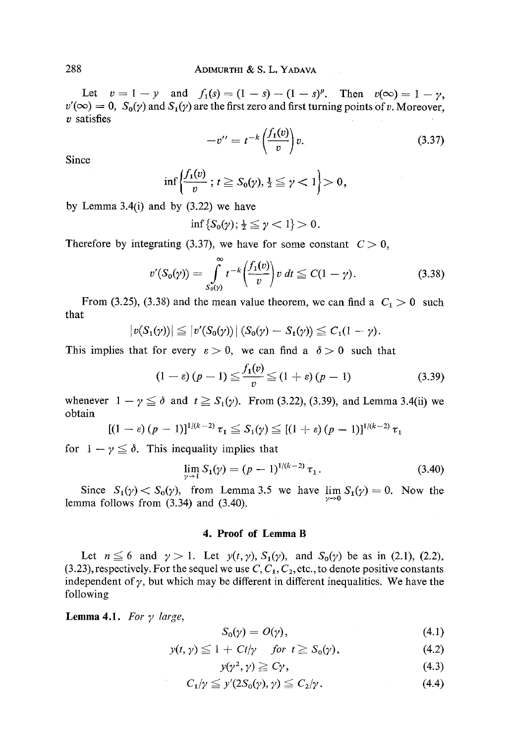Let  $v= 1-y$  and  $f_1(s) = (1-s)-(1-s)^p$ . Then  $v(\infty)= 1-\gamma$ ,  $v'(\infty) = 0$ ,  $S_0(y)$  and  $S_1(y)$  are the first zero and first turning points of v. Moreover,  $v$  satisfies

$$
-v^{\prime\prime}=t^{-k}\left(\frac{f_1(v)}{v}\right)v.\tag{3.37}
$$

Since

$$
\inf\left\{\frac{f_1(v)}{v}\,;\,t\geq S_0(\gamma),\frac{1}{2}\leq\gamma<1\right\}>0,
$$

by Lemma  $3.4(i)$  and by  $(3.22)$  we have

$$
\inf\left\{S_0(\gamma); \frac{1}{2}\leq \gamma < 1\right\}>0.
$$

Therefore by integrating (3.37), we have for some constant  $C > 0$ ,

$$
v'(S_0(\gamma)) = \int_{S_0(\gamma)}^{\infty} t^{-k} \left(\frac{f_1(v)}{v}\right) v dt \leq C(1-\gamma).
$$
 (3.38)

From (3.25), (3.38) and the mean value theorem, we can find a  $C_1 > 0$  such that

$$
|v(S_1(y))| \leq |v'(S_0(y))| (S_0(y) - S_1(y)) \leq C_1(1 - \gamma).
$$

This implies that for every  $\varepsilon > 0$ , we can find a  $\delta > 0$  such that

$$
(1 - \varepsilon)(p - 1) \leq \frac{f_1(v)}{v} \leq (1 + \varepsilon)(p - 1)
$$
\n(3.39)

whenever  $1 - \gamma \leq \delta$  and  $t \geq S_1(\gamma)$ . From (3.22), (3.39), and Lemma 3.4(ii) we obtain

$$
[(1 - \varepsilon)(p - 1)]^{1/(k-2)} \tau_1 \leq S_1(\gamma) \leq [(1 + \varepsilon)(p - 1)]^{1/(k-2)} \tau_1
$$

for  $1 - \gamma \leq \delta$ . This inequality implies that

$$
\lim_{\gamma \to 1} S_1(\gamma) = (p-1)^{1/(k-2)} \tau_1. \tag{3.40}
$$

Since  $S_1(\gamma) \leq S_0(\gamma)$ , from Lemma 3.5 we have  $\lim_{\gamma \to 0} S_1(\gamma) = 0$ . Now the lemma follows from  $(3.34)$  and  $(3.40)$ .

#### **4. Proof of Lemma B**

Let  $n \leq 6$  and  $\gamma > 1$ . Let  $y(t, \gamma)$ ,  $S_1(\gamma)$ , and  $S_0(\gamma)$  be as in (2.1), (2.2), (3.23), respectively. For the sequel we use  $C, C_1, C_2$ , etc., to denote positive constants independent of  $\gamma$ , but which may be different in different inequalities. We have the following

**Lemma 4.1.** For  $\gamma$  large,

$$
S_0(\gamma) = O(\gamma), \tag{4.1}
$$

$$
y(t, \gamma) \leq 1 + Ct/\gamma \quad \text{for } t \geq S_0(\gamma), \tag{4.2}
$$

$$
y(\gamma^2, \gamma) \geq C\gamma, \tag{4.3}
$$

$$
C_1/\gamma \leq y'(2S_0(\gamma), \gamma) \leq C_2/\gamma. \tag{4.4}
$$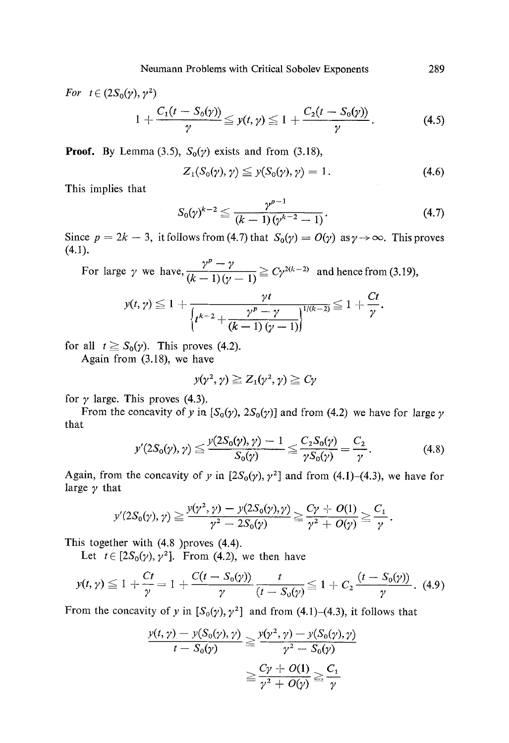For 
$$
t \in (2S_0(\gamma), \gamma^2)
$$
  
\n
$$
1 + \frac{C_1(t - S_0(\gamma))}{\gamma} \leq y(t, \gamma) \leq 1 + \frac{C_2(t - S_0(\gamma))}{\gamma}.
$$
\n(4.5)

**Proof.** By Lemma (3.5),  $S_0(\gamma)$  exists and from (3.18),

$$
Z_1(S_0(\gamma), \gamma) \leqq y(S_0(\gamma), \gamma) = 1. \tag{4.6}
$$

This implies that

$$
S_0(\gamma)^{k-2} \leq \frac{\gamma^{p-1}}{(k-1)(\gamma^{k-2}-1)}.
$$
\n(4.7)

Since  $p = 2k - 3$ , it follows from (4.7) that  $S_0(y) = O(y)$  as  $y \to \infty$ . This proves (4.1).

 $\nu^p - \nu$ For large  $\gamma$  we have,  $\frac{1}{(k+1)(n+1)} \geq C\gamma^{2(k-2)}$  and hence from (3.19),

$$
y(t, \gamma) \leq 1 + \frac{\gamma t}{\left\{t^{k-2} + \frac{\gamma^p - \gamma}{(k-1)(\gamma-1)}\right\}^{1/(k-2)}} \leq 1 + \frac{Ct}{\gamma}.
$$

for all  $t \geq S_0(\gamma)$ . This proves (4.2).

Again from (3.18), we have

$$
y(\gamma^2,\gamma)\geq Z_1(\gamma^2,\gamma)\geq C\gamma
$$

for  $\gamma$  large. This proves (4.3).

From the concavity of y in  $[S_0(y), 2S_0(y)]$  and from (4.2) we have for large y that

$$
y'(2S_0(\gamma), \gamma) \le \frac{y(2S_0(\gamma), \gamma) - 1}{S_0(\gamma)} \le \frac{C_2S_0(\gamma)}{\gamma S_0(\gamma)} = \frac{C_2}{\gamma}.
$$
 (4.8)

Again, from the concavity of y in  $[2S_0(y), y^2]$  and from (4.1)-(4.3), we have for large  $\gamma$  that

$$
y'(2S_0(\gamma), \gamma) \ge \frac{y(\gamma^2, \gamma) - y(2S_0(\gamma), \gamma)}{\gamma^2 - 2S_0(\gamma)} \ge \frac{C\gamma + O(1)}{\gamma^2 + O(\gamma)} \ge \frac{C_1}{\gamma}
$$

This together with (4.8)proves (4.4).

Let  $t \in [2S_0(\gamma), \gamma^2]$ . From (4.2), we then have

$$
y(t,\gamma) \leq 1 + \frac{Ct}{\gamma} = 1 + \frac{C(t - S_0(\gamma))}{\gamma} \frac{t}{(t - S_0(\gamma))} \leq 1 + C_2 \frac{(t - S_0(\gamma))}{\gamma}.
$$
 (4.9)

From the concavity of y in  $[S_0(y), y^2]$  and from (4.1)-(4.3), it follows that

$$
\frac{y(t, \gamma) - y(S_0(\gamma), \gamma)}{t - S_0(\gamma)} \ge \frac{y(\gamma^2, \gamma) - y(S_0(\gamma), \gamma)}{\gamma^2 - S_0(\gamma)}
$$

$$
\ge \frac{C\gamma + O(1)}{\gamma^2 + O(\gamma)} \ge \frac{C_1}{\gamma}
$$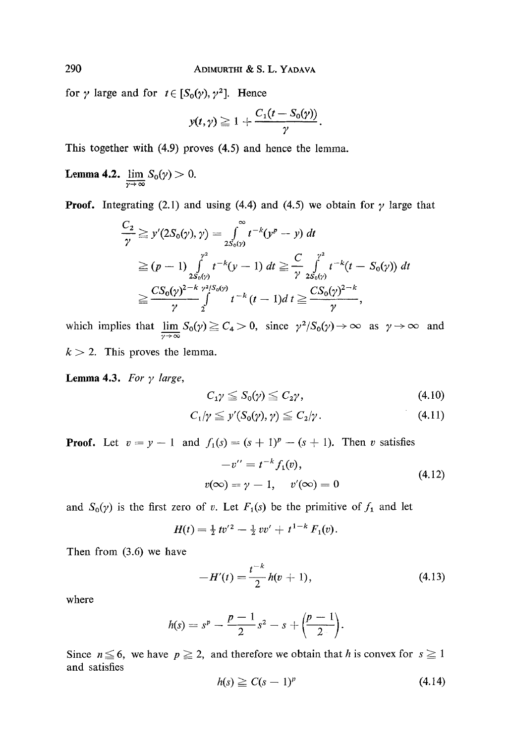for  $\gamma$  large and for  $t \in [S_0(\gamma), \gamma^2]$ . Hence

$$
y(t,\gamma)\geq 1+\frac{C_1(t-S_0(\gamma))}{\gamma}.
$$

This together with (4.9) proves (4.5) and hence the lemma.

**Lemma 4.2.**  $\lim_{\gamma \to \infty} S_0(\gamma) > 0.$ 

**Proof.** Integrating (2.1) and using (4.4) and (4.5) we obtain for  $\gamma$  large that

$$
\frac{C_2}{\gamma} \geq y'(2S_0(\gamma), \gamma) = \int_{2S_0(\gamma)}^{\infty} t^{-k}(y^p - y) dt
$$
  
\n
$$
\geq (p - 1) \int_{2S_0(\gamma)}^{\gamma^2} t^{-k}(y - 1) dt \geq \frac{C}{\gamma} \int_{2S_0(\gamma)}^{\gamma^2} t^{-k}(t - S_0(\gamma)) dt
$$
  
\n
$$
\geq \frac{CS_0(\gamma)^{2 - k} \gamma^{2} S_0(\gamma)}{\gamma} t^{-k}(t - 1) dt \geq \frac{CS_0(\gamma)^{2 - k}}{\gamma},
$$

which implies that  $\lim_{\gamma \to \infty} S_0(\gamma) \geq C_4 > 0$ , since  $\gamma^2/S_0(\gamma) \to \infty$  as  $\gamma \to \infty$  and  $k > 2$ . This proves the lemma.

**Lemma 4.3.** For  $\gamma$  large,

$$
C_{1}\gamma \leq S_{0}(\gamma) \leq C_{2}\gamma, \qquad (4.10)
$$

$$
C_1/\gamma \leqq y'(S_0(\gamma), \gamma) \leqq C_2/\gamma. \tag{4.11}
$$

**Proof.** Let  $v = y - 1$  and  $f_1(s) = (s + 1)^p - (s + 1)$ . Then v satisfies

$$
-v'' = t^{-k} f_1(v),
$$
  
\n
$$
v(\infty) = \gamma - 1, \quad v'(\infty) = 0
$$
\n(4.12)

and  $S_0(y)$  is the first zero of v. Let  $F_1(s)$  be the primitive of  $f_1$  and let

$$
H(t) = \frac{1}{2} t v'^2 - \frac{1}{2} v v' + t^{1-k} F_1(v).
$$

Then from (3.6) we have

$$
-H'(t) = \frac{t^{-k}}{2}h(v+1),
$$
\n(4.13)

where

$$
h(s) = sp - \frac{p-1}{2}s2 - s + \left(\frac{p-1}{2}\right).
$$

Since  $n \leq 6$ , we have  $p \geq 2$ , and therefore we obtain that h is convex for  $s \geq 1$ and satisfies

$$
h(s) \ge C(s-1)^p \tag{4.14}
$$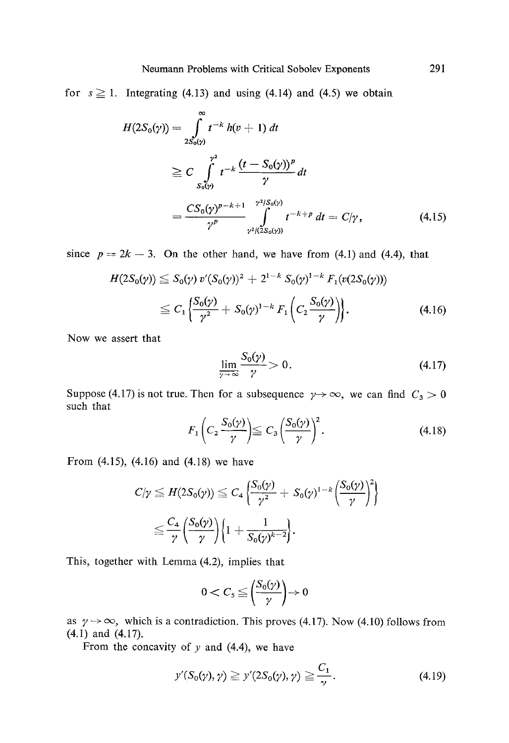for  $s \ge 1$ . Integrating (4.13) and using (4.14) and (4.5) we obtain

$$
H(2S_0(\gamma)) = \int_{2S_0(\gamma)}^{\infty} t^{-k} h(v+1) dt
$$
  
\n
$$
\geq C \int_{S_0(\gamma)}^{\gamma^2} t^{-k} \frac{(t - S_0(\gamma))^p}{\gamma} dt
$$
  
\n
$$
= \frac{CS_0(\gamma)^{p-k+1}}{\gamma^p} \int_{\gamma^2/(2S_0(\gamma))}^{\gamma^2/(2S_0(\gamma))} t^{-k+p} dt = C/\gamma,
$$
 (4.15)

since  $p = 2k - 3$ . On the other hand, we have from (4.1) and (4.4), that

$$
H(2S_0(\gamma)) \leq S_0(\gamma) v'(S_0(\gamma))^2 + 2^{1-k} S_0(\gamma)^{1-k} F_1(v(2S_0(\gamma)))
$$
  
 
$$
\leq C_1 \left\{ \frac{S_0(\gamma)}{\gamma^2} + S_0(\gamma)^{1-k} F_1\left(C_2 \frac{S_0(\gamma)}{\gamma}\right) \right\}. \tag{4.16}
$$

Now we assert that

$$
\lim_{\gamma \to \infty} \frac{S_0(\gamma)}{\gamma} > 0. \tag{4.17}
$$

Suppose (4.17) is not true. Then for a subsequence  $\gamma \rightarrow \infty$ , we can find  $C_3 > 0$ such that

$$
F_1\left(C_2\frac{S_0(\gamma)}{\gamma}\right) \leqq C_3\left(\frac{S_0(\gamma)}{\gamma}\right)^2. \tag{4.18}
$$

From (4.15), (4.16) and (4.18) we have

$$
C/\gamma \leq H(2S_0(\gamma)) \leq C_4 \left\{ \frac{S_0(\gamma)}{\gamma^2} + S_0(\gamma)^{1-k} \left( \frac{S_0(\gamma)}{\gamma} \right)^2 \right\}
$$
  

$$
\leq \frac{C_4}{\gamma} \left( \frac{S_0(\gamma)}{\gamma} \right) \left\{ 1 + \frac{1}{S_0(\gamma)^{k-2}} \right\}.
$$

This, together with Lemma (4.2), implies that

$$
0 < C_{\mathfrak{s}} \leqq \left(\frac{S_0(\gamma)}{\gamma}\right) \to 0
$$

as  $\gamma \rightarrow \infty$ , which is a contradiction. This proves (4.17). Now (4.10) follows from (4.1) and (4.17).

From the concavity of  $y$  and (4.4), we have

$$
y'(S_0(\gamma), \gamma) \geq y'(2S_0(\gamma), \gamma) \geq \frac{C_1}{\gamma}.
$$
\n(4.19)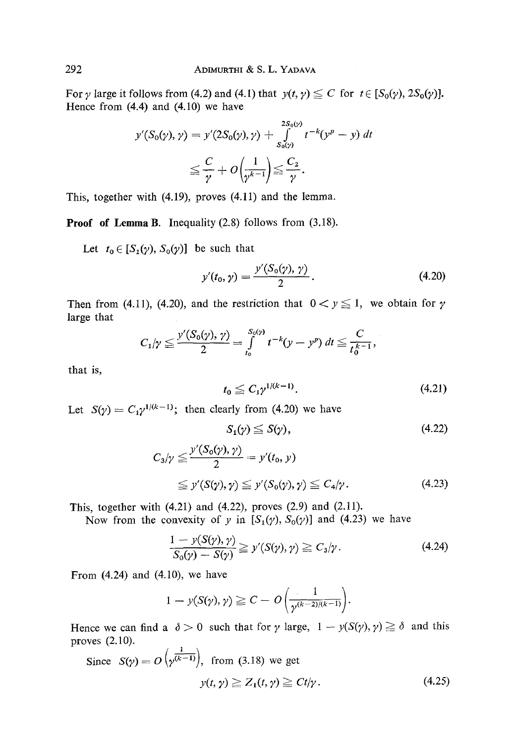For  $\gamma$  large it follows from (4.2) and (4.1) that  $y(t, \gamma) \leq C$  for  $t \in [S_0(\gamma), 2S_0(\gamma)]$ . Hence from  $(4.4)$  and  $(4.10)$  we have

$$
y'(S_0(\gamma), \gamma) = y'(2S_0(\gamma), \gamma) + \int_{S_0(\gamma)}^{2S_0(\gamma)} t^{-k} (y^p - y) dt
$$
  

$$
\leq \frac{C}{\gamma} + O\left(\frac{1}{\gamma^{k-1}}\right) \leq \frac{C_2}{\gamma}.
$$

This, together with (4.19), proves (4.11) and the lemma.

**Proof of Lemma B.** Inequality (2.8) follows from (3.18).

Let  $t_0 \in [S_1(\gamma), S_0(\gamma)]$  be such that

$$
y'(t_0, \gamma) = \frac{y'(S_0(\gamma), \gamma)}{2}.
$$
 (4.20)

Then from (4.11), (4.20), and the restriction that  $0 < y \le 1$ , we obtain for  $\gamma$ large that

$$
C_1/\gamma \leq \frac{y'(S_0(\gamma), \gamma)}{2} = \int\limits_{t_0}^{S_0(\gamma)} t^{-k} (y - y^p) dt \leq \frac{C}{t_0^{k-1}},
$$

that is,

$$
t_0 \leq C_1 \gamma^{1/(k-1)}.\tag{4.21}
$$

Let  $S(\gamma) = C_1 \gamma^{1/(k-1)}$ ; then clearly from (4.20) we have

$$
S_1(\gamma) \le S(\gamma), \tag{4.22}
$$

$$
C_3/\gamma \leq \frac{y'(S_0(\gamma), \gamma)}{2} = y'(t_0, \gamma)
$$
  
 
$$
\leq y'(S(\gamma), \gamma) \leq y'(S_0(\gamma), \gamma) \leq C_4/\gamma.
$$
 (4.23)

This, together with (4.21) and (4.22), proves (2.9) and (2.11).

Now from the convexity of y in  $[S_1(\gamma), S_0(\gamma)]$  and (4.23) we have

$$
\frac{1 - y(S(\gamma), \gamma)}{S_0(\gamma) - S(\gamma)} \geq y'(S(\gamma), \gamma) \geq C_3/\gamma.
$$
 (4.24)

From  $(4.24)$  and  $(4.10)$ , we have

$$
1 - y(S(\gamma), \gamma) \geq C - O\left(\frac{1}{\gamma^{(k-2)/(k-1)}}\right).
$$

Hence we can find a  $\delta > 0$  such that for  $\gamma$  large,  $1 - y(S(\gamma), \gamma) \ge \delta$  and this proves (2.10).  $\lambda = 1 - \lambda$ 

Since 
$$
S(\gamma) = O(\gamma^{\overline{(k-1)}})
$$
, from (3.18) we get  
\n $y(t, \gamma) \geq Z_1(t, \gamma) \geq Ct/\gamma$ . (4.25)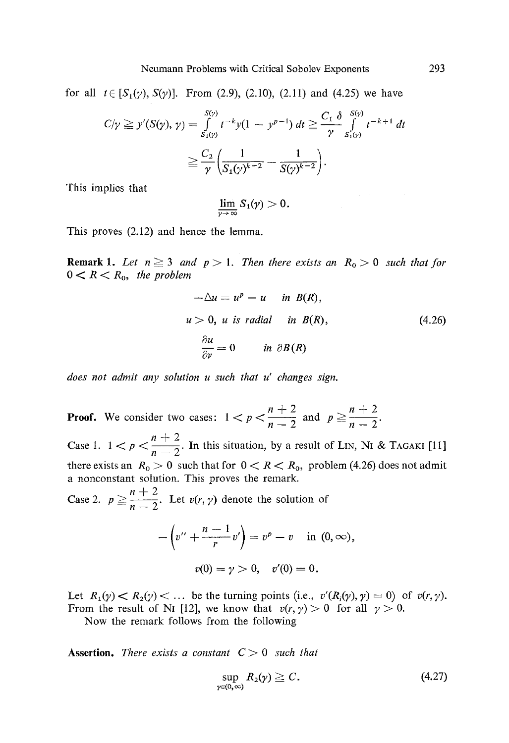for all  $t \in [S_1(\gamma), S(\gamma)]$ . From (2.9), (2.10), (2.11) and (4.25) we have

$$
C/\gamma \ge y'(S(\gamma), \gamma) = \int_{S_1(\gamma)}^{S(\gamma)} t^{-k} y(1 - y^{p-1}) dt \ge \frac{C_1 \delta}{\gamma} \int_{S_1(\gamma)}^{S(\gamma)} t^{-k+1} dt
$$
  

$$
\ge \frac{C_2}{\gamma} \left( \frac{1}{S_1(\gamma)^{k-2}} - \frac{1}{S(\gamma)^{k-2}} \right).
$$

This implies that

$$
\varliminf_{\gamma\to\infty}S_1(\gamma)>0.
$$

This proves (2.12) and hence the lemma.

**Remark 1.** Let  $n \geq 3$  and  $p > 1$ . Then there exists an  $R_0 > 0$  such that for  $0 < R < R_0$ , the problem

$$
-\Delta u = u^{p} - u \quad \text{in } B(R),
$$
  
  $u > 0$ , u is radial in  $B(R)$ ,  

$$
\frac{\partial u}{\partial y} = 0 \quad \text{in } \partial B(R)
$$
 (4.26)

*does not admit any solution u such that u' changes sign.* 

**Proof.** We consider two cases:  $1 < p < \frac{n+2}{n-2}$  and  $p \ge \frac{n+2}{n-2}$ 

Case 1.  $1 < p < \frac{n+2}{n-2}$ . In this situation, by a result of LIN, NI & TAGAKI [11] there exists an  $R_0 > 0$  such that for  $0 < R < R_0$ , problem (4.26) does not admit a nonconstant solution. This proves the remark.

Case 2.  $p \ge \frac{n+2}{n-2}$ . Let  $v(r, \gamma)$  denote the solution of

$$
-\left(v'' + \frac{n-1}{r}v'\right) = v^p - v \quad \text{in } (0, \infty),
$$

$$
v(0) = \gamma > 0, \quad v'(0) = 0.
$$

Let  $R_1(\gamma) < R_2(\gamma) < \dots$  be the turning points (i.e.,  $v'(R_i(\gamma), \gamma) = 0$ ) of  $v(r, \gamma)$ . From the result of NI [12], we know that  $v(r, \gamma) > 0$  for all  $\gamma > 0$ .

Now the remark follows from the following

**Assertion.** *There exists a constant C > 0 such that* 

$$
\sup_{\gamma \in (0,\infty)} R_2(\gamma) \geq C. \tag{4.27}
$$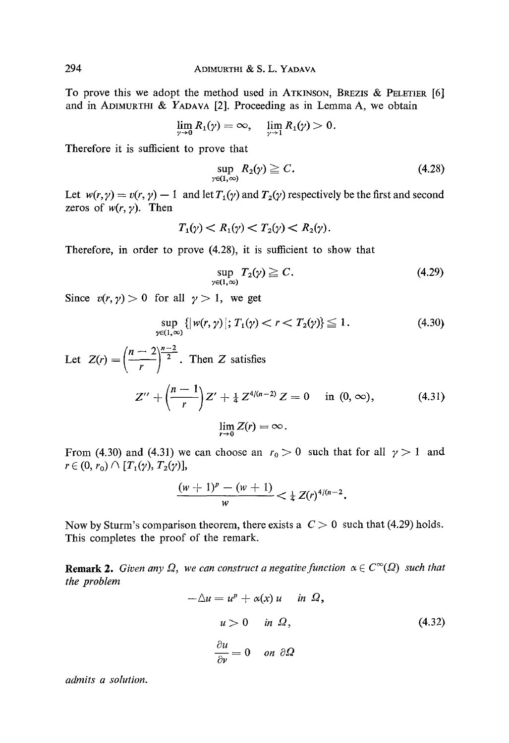To prove this we adopt the method used in ATKINSON, BREZIS & PELETIER [6] and in ADIMURTHI & YADAVA [2]. Proceeding as in Lemma A, we obtain

$$
\lim_{\gamma\to 0}R_1(\gamma)=\infty,\quad \lim_{\gamma\to 1}R_1(\gamma)>0.
$$

Therefore it is sufficient to prove that

$$
\sup_{\gamma \in (1,\infty)} R_2(\gamma) \geq C. \tag{4.28}
$$

Let  $w(r, \gamma) = v(r, \gamma) - 1$  and let  $T_1(\gamma)$  and  $T_2(\gamma)$  respectively be the first and second zeros of  $w(r, y)$ . Then

$$
T_1(\gamma) < R_1(\gamma) < T_2(\gamma) < R_2(\gamma).
$$

Therefore, in order to prove (4.28), it is sufficient to show that

$$
\sup_{\gamma \in (1,\infty)} T_2(\gamma) \geq C. \tag{4.29}
$$

Since  $v(r, \gamma) > 0$  for all  $\gamma > 1$ , we get

$$
\sup_{\gamma \in (1,\infty)} \{ |\, w(r,\gamma) \, | \, ; \, T_1(\gamma) < r < T_2(\gamma) \} \leq 1. \tag{4.30}
$$

Let 
$$
Z(r) = \left(\frac{n-2}{r}\right)^{\frac{n-2}{2}}
$$
. Then Z satisfies  

$$
Z'' + \left(\frac{n-1}{r}\right)Z' + \frac{1}{4}Z^{4/(n-2)}Z = 0 \text{ in } (0, \infty),
$$
 (4.31)
$$
\lim_{r \to 0} Z(r) = \infty.
$$

From (4.30) and (4.31) we can choose an  $r_0 > 0$  such that for all  $\gamma > 1$  and  $r \in (0, r_0) \cap [T_1(\gamma), T_2(\gamma)],$ 

$$
\frac{(w+1)^p-(w+1)}{w}<\tfrac{1}{4}Z(r)^{4/(n-2)}.
$$

Now by Sturm's comparison theorem, there exists a  $C > 0$  such that (4.29) holds. This completes the proof of the remark.

**Remark 2.** *Given any*  $\Omega$ *, we can construct a negative function*  $\alpha \in C^{\infty}(\Omega)$  *such that the problem* 

$$
-\Delta u = u^{p} + \alpha(x) u \quad \text{in } \Omega,
$$
  
\n
$$
u > 0 \quad \text{in } \Omega,
$$
  
\n
$$
\frac{\partial u}{\partial v} = 0 \quad \text{on } \partial \Omega
$$
\n(4.32)

*admits a solution.*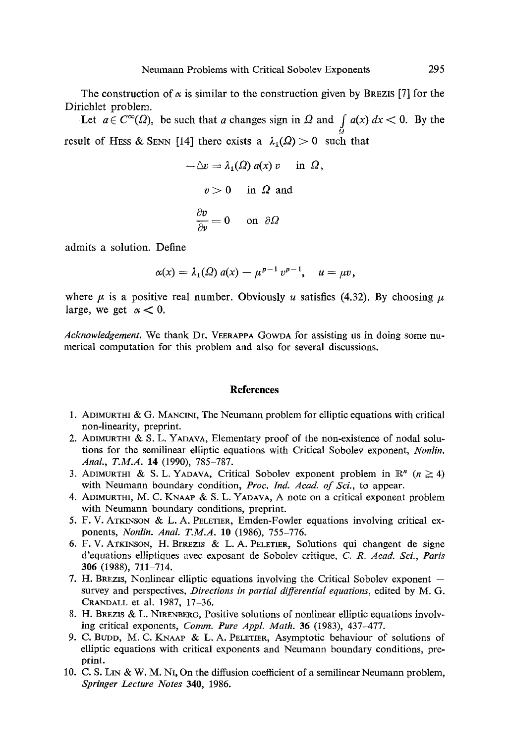The construction of  $\alpha$  is similar to the construction given by BREZIS [7] for the Dirichlet problem.

Let  $a \in C^{\infty}(\Omega)$ , be such that a changes sign in  $\Omega$  and  $\int_{\Omega} a(x) dx < 0$ . By the result of HESS & SENN [14] there exists a  $\lambda_1(\Omega) > 0$  such that

$$
-\Delta v = \lambda_1(\Omega) a(x) v \text{ in } \Omega,
$$
  

$$
v > 0 \text{ in } \Omega \text{ and}
$$
  

$$
\frac{\partial v}{\partial v} = 0 \text{ on } \partial \Omega
$$

admits a solution. Define

$$
\alpha(x) = \lambda_1(\Omega) a(x) - \mu^{p-1} v^{p-1}, \quad u = \mu v,
$$

where  $\mu$  is a positive real number. Obviously u satisfies (4.32). By choosing  $\mu$ large, we get  $\alpha < 0$ .

*Acknowledgement.* We thank Dr. VEERAPPA GOWDA for assisting us in doing some numerical computation for this problem and also for several discussions.

#### **References**

- 1. ADIMURTHI & G. MANCINI, The Neumann problem for elliptic equations with critical non-linearity, preprint.
- 2. ADIMURTHI & S. L. YADAVA, Elementary proof of the non-existence of nodal solutions for the semilinear elliptic equations with Critical Sobolev exponent, *Nonlin. Anal., T.M.A.* 14 (1990), 785-787.
- 3. ADIMURTHI & S. L. YADAVA, Critical Sobolev exponent problem in  $\mathbb{R}^n$  ( $n \ge 4$ ) with Neumann boundary condition, *Proc. Ind. Acad. of Sci.*, to appear.
- 4. ADIMURTHI, M. C. KNAAP & S. L. YADAVA, A note on a critical exponent problem with Neumann boundary conditions, preprint.
- 5. F. V. ATKINSON & L. A. PELETIER, Emden-Fowler equations involving critical exponents, *Nonlin. Anal. T.M.A.* 10 (1986), 755-776.
- 6. F. V. ATKINSON, H. BrREZIS & L. A. PELETIER, Solutions qui changent de signe d'equations elliptiques avec exposant de Sobolev critique, *C. R. Acad. Sci., Paris*  306 (1988), 711-714.
- 7. H. BREZIS, Nonlinear elliptic equations involving the Critical Sobolev exponent  $$ survey and perspectives, *Directions in partial differential equations,* edited by M. G. CRANDALL et al. 1987, 17-36.
- 8. H. BREZIS & L. NIRENBERG, Positive solutions of nonlinear elliptic equations involving critical exponents, *Comm. Pure Appl. Math.* 36 (1983), 437-477.
- 9. C. BUDD, M. C. *KNAAV* & L. A. PELETIER, Asymptotic behaviour of solutions of elliptic equations with critical exponents and Neumann boundary conditions, preprint.
- 10. C. S. LIN & W. M. NI, On the diffusion coefficient of a semilinear Neumann problem, *Springer Lecture Notes* 340, 1986.